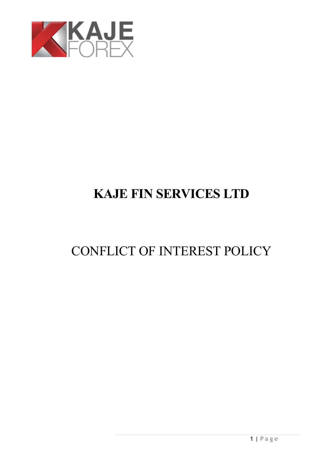

# **KAJE FIN SERVICES LTD**

# CONFLICT OF INTEREST POLICY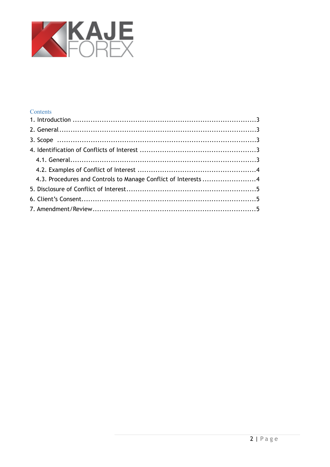

## Contents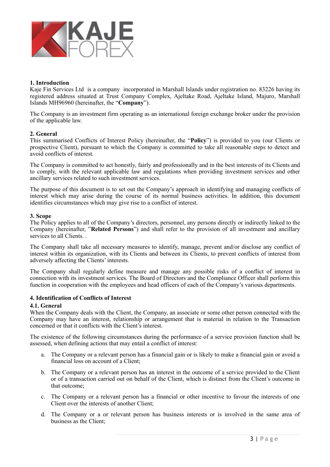

#### <span id="page-2-0"></span>**1. Introduction**

Kaje Fin Services Ltd is a company incorporated in Marshall Islands under registration no. 83226 having its registered address situated at Trust Company Complex, Ajeltake Road, Ajeltake Island, Majuro, Marshall Islands MH96960 (hereinafter, the "**Company**").

The Company is an investment firm operating as an international foreign exchange broker under the provision of the applicable law.

### <span id="page-2-1"></span>**2. General**

This summarised Conflicts of Interest Policy (hereinafter, the "**Policy**") is provided to you (our Clients or prospective Client), pursuant to which the Company is committed to take all reasonable steps to detect and avoid conflicts of interest.

The Company is committed to act honestly, fairly and professionally and in the best interests of its Clients and to comply, with the relevant applicable law and regulations when providing investment services and other ancillary services related to such investment services.

The purpose of this document is to set out the Company's approach in identifying and managing conflicts of interest which may arise during the course of its normal business activities. In addition, this document identifies circumstances which may give rise to a conflict of interest.

#### <span id="page-2-2"></span>**3. Scope**

The Policy applies to all of the Company's directors, personnel, any persons directly or indirectly linked to the Company (hereinafter, "**Related Persons**") and shall refer to the provision of all investment and ancillary services to all Clients. .

The Company shall take all necessary measures to identify, manage, prevent and/or disclose any conflict of interest within its organization, with its Clients and between its Clients, to prevent conflicts of interest from adversely affecting the Clients' interests.

The Company shall regularly define measure and manage any possible risks of a conflict of interest in connection with its investment services. The Board of Directors and the Compliance Officer shall perform this function in cooperation with the employees and head officers of each of the Company's various departments.

#### <span id="page-2-3"></span>**4. Identification of Conflicts of Interest**

#### <span id="page-2-4"></span>**4.1. General**

When the Company deals with the Client, the Company, an associate or some other person connected with the Company may have an interest, relationship or arrangement that is material in relation to the Transaction concerned or that it conflicts with the Client's interest.

The existence of the following circumstances during the performance of a service provision function shall be assessed, when defining actions that may entail a conflict of interest:

- a. The Company or a relevant person has a financial gain or is likely to make a financial gain or avoid a financial loss on account of a Client;
- b. The Company or a relevant person has an interest in the outcome of a service provided to the Client or of a transaction carried out on behalf of the Client, which is distinct from the Client's outcome in that outcome;
- c. The Company or a relevant person has a financial or other incentive to favour the interests of one Client over the interests of another Client;
- d. The Company or a or relevant person has business interests or is involved in the same area of business as the Client;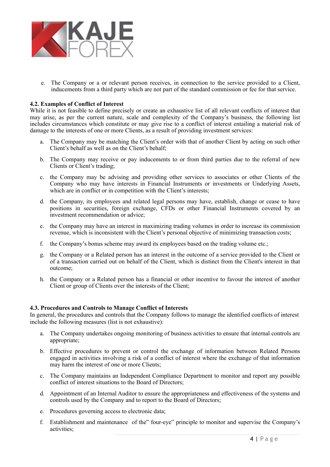

e. The Company or a or relevant person receives, in connection to the service provided to a Client, inducements from a third party which are not part of the standard commission or fee for that service.

#### <span id="page-3-0"></span>**4.2. Examples of Conflict of Interest**

While it is not feasible to define precisely or create an exhaustive list of all relevant conflicts of interest that may arise, as per the current nature, scale and complexity of the Company's business, the following list includes circumstances which constitute or may give rise to a conflict of interest entailing a material risk of damage to the interests of one or more Clients, as a result of providing investment services:

- a. The Company may be matching the Client's order with that of another Client by acting on such other Client's behalf as well as on the Client's behalf;
- b. The Company may receive or pay inducements to or from third parties due to the referral of new Clients or Client's trading;
- c. the Company may be advising and providing other services to associates or other Clients of the Company who may have interests in Financial Instruments or investments or Underlying Assets, which are in conflict or in competition with the Client's interests;
- d. the Company, its employees and related legal persons may have, establish, change or cease to have positions in securities, foreign exchange, CFDs or other Financial Instruments covered by an investment recommendation or advice;
- e. the Company may have an interest in maximizing trading volumes in order to increase its commission revenue, which is inconsistent with the Client's personal objective of minimizing transaction costs;
- f. the Company's bonus scheme may award its employees based on the trading volume etc.;
- g. the Company or a Related person has an interest in the outcome of a service provided to the Client or of a transaction carried out on behalf of the Client, which is distinct from the Client's interest in that outcome;
- h. the Company or a Related person has a financial or other incentive to favour the interest of another Client or group of Clients over the interests of the Client;

#### <span id="page-3-1"></span>**4.3. Procedures and Controls to Manage Conflict of Interests**

In general, the procedures and controls that the Company follows to manage the identified conflicts of interest include the following measures (list is not exhaustive):

- a. The Company undertakes ongoing monitoring of business activities to ensure that internal controls are appropriate;
- b. Effective procedures to prevent or control the exchange of information between Related Persons engaged in activities involving a risk of a conflict of interest where the exchange of that information may harm the interest of one or more Clients;
- c. The Company maintains an Independent Compliance Department to monitor and report any possible conflict of interest situations to the Board of Directors;
- d. Appointment of an Internal Auditor to ensure the appropriateness and effectiveness of the systems and controls used by the Company and to report to the Board of Directors;
- e. Procedures governing access to electronic data;
- f. Establishment and maintenance of the" four-eye" principle to monitor and supervise the Company's activities;